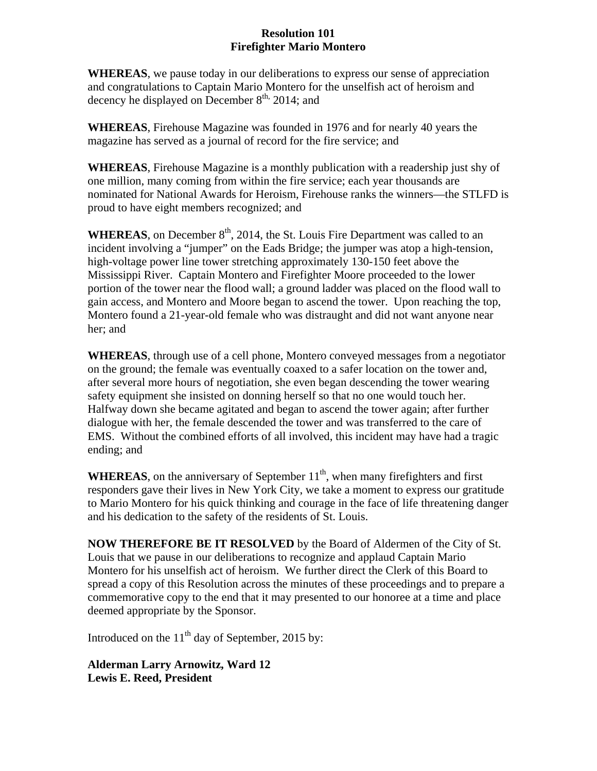## **Resolution 101 Firefighter Mario Montero**

**WHEREAS**, we pause today in our deliberations to express our sense of appreciation and congratulations to Captain Mario Montero for the unselfish act of heroism and decency he displayed on December  $8<sup>th</sup>$ , 2014; and

**WHEREAS**, Firehouse Magazine was founded in 1976 and for nearly 40 years the magazine has served as a journal of record for the fire service; and

**WHEREAS**, Firehouse Magazine is a monthly publication with a readership just shy of one million, many coming from within the fire service; each year thousands are nominated for National Awards for Heroism, Firehouse ranks the winners—the STLFD is proud to have eight members recognized; and

**WHEREAS**, on December  $8<sup>th</sup>$ , 2014, the St. Louis Fire Department was called to an incident involving a "jumper" on the Eads Bridge; the jumper was atop a high-tension, high-voltage power line tower stretching approximately 130-150 feet above the Mississippi River. Captain Montero and Firefighter Moore proceeded to the lower portion of the tower near the flood wall; a ground ladder was placed on the flood wall to gain access, and Montero and Moore began to ascend the tower. Upon reaching the top, Montero found a 21-year-old female who was distraught and did not want anyone near her; and

**WHEREAS**, through use of a cell phone, Montero conveyed messages from a negotiator on the ground; the female was eventually coaxed to a safer location on the tower and, after several more hours of negotiation, she even began descending the tower wearing safety equipment she insisted on donning herself so that no one would touch her. Halfway down she became agitated and began to ascend the tower again; after further dialogue with her, the female descended the tower and was transferred to the care of EMS. Without the combined efforts of all involved, this incident may have had a tragic ending; and

**WHEREAS**, on the anniversary of September  $11<sup>th</sup>$ , when many firefighters and first responders gave their lives in New York City, we take a moment to express our gratitude to Mario Montero for his quick thinking and courage in the face of life threatening danger and his dedication to the safety of the residents of St. Louis.

**NOW THEREFORE BE IT RESOLVED** by the Board of Aldermen of the City of St. Louis that we pause in our deliberations to recognize and applaud Captain Mario Montero for his unselfish act of heroism. We further direct the Clerk of this Board to spread a copy of this Resolution across the minutes of these proceedings and to prepare a commemorative copy to the end that it may presented to our honoree at a time and place deemed appropriate by the Sponsor.

Introduced on the  $11<sup>th</sup>$  day of September, 2015 by:

**Alderman Larry Arnowitz, Ward 12 Lewis E. Reed, President**